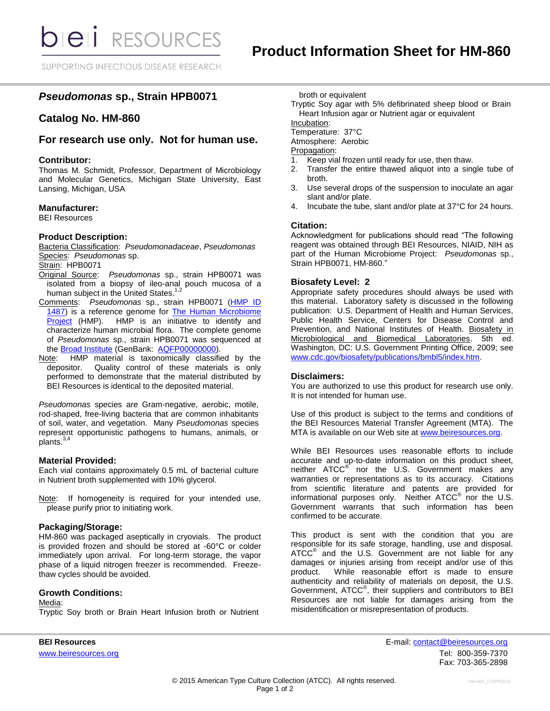SUPPORTING INFECTIOUS DISEASE RESEARCH

# *Pseudomonas* **sp., Strain HPB0071**

## **Catalog No. HM-860**

### **For research use only. Not for human use.**

#### **Contributor:**

Thomas M. Schmidt, Professor, Department of Microbiology and Molecular Genetics, Michigan State University, East Lansing, Michigan, USA

#### **Manufacturer:**

BEI Resources

#### **Product Description:**

Bacteria Classification: *Pseudomonadaceae*, *Pseudomonas* Species: *Pseudomonas* sp.

Strain: HPB0071

- Original Source: *Pseudomonas* sp., strain HPB0071 was isolated from a biopsy of ileo-anal pouch mucosa of a human subject in the United States.<sup>1,2</sup>
- Comments: *Pseudomonas* sp., strain HPB0071 [\(HMP ID](http://www.hmpdacc.org/catalog/grid.php?dataset=genomic&hmp_id=1487)  [1487\)](http://www.hmpdacc.org/catalog/grid.php?dataset=genomic&hmp_id=1487) is a reference genome for The Human Microbiome [Project](https://commonfund.nih.gov/hmp/) (HMP). HMP is an initiative to identify and characterize human microbial flora. The complete genome of *Pseudomonas* sp., strain HPB0071 was sequenced at the [Broad Institute](http://www.broadinstitute.org/scientific-community/science/projects/microbiome-projects/hmp/human-microbiome-project) (GenBank: [AQFP00000000\)](http://www.ncbi.nlm.nih.gov/nucleotide/AQFP00000000?).
- Note: HMP material is taxonomically classified by the depositor. Quality control of these materials is only performed to demonstrate that the material distributed by BEI Resources is identical to the deposited material.

*Pseudomonas* species are Gram-negative, aerobic, motile, rod-shaped, free-living bacteria that are common inhabitants of soil, water, and vegetation. Many *Pseudomonas* species represent opportunistic pathogens to humans, animals, or plants.<sup>3,4</sup>

#### **Material Provided:**

Each vial contains approximately 0.5 mL of bacterial culture in Nutrient broth supplemented with 10% glycerol.

Note: If homogeneity is required for your intended use, please purify prior to initiating work.

#### **Packaging/Storage:**

HM-860 was packaged aseptically in cryovials. The product is provided frozen and should be stored at -60°C or colder immediately upon arrival. For long-term storage, the vapor phase of a liquid nitrogen freezer is recommended. Freezethaw cycles should be avoided.

#### **Growth Conditions:**

#### Media:

Tryptic Soy broth or Brain Heart Infusion broth or Nutrient

broth or equivalent

Tryptic Soy agar with 5% defibrinated sheep blood or Brain Heart Infusion agar or Nutrient agar or equivalent Incubation:

Temperature: 37°C

Atmosphere: Aerobic

Propagation:

- 1. Keep vial frozen until ready for use, then thaw.<br>2. Transfer the entire thawed aliquot into a sing
- Transfer the entire thawed aliquot into a single tube of broth.
- 3. Use several drops of the suspension to inoculate an agar slant and/or plate.
- 4. Incubate the tube, slant and/or plate at 37°C for 24 hours.

#### **Citation:**

Acknowledgment for publications should read "The following reagent was obtained through BEI Resources, NIAID, NIH as part of the Human Microbiome Project: *Pseudomonas* sp., Strain HPB0071, HM-860."

#### **Biosafety Level: 2**

Appropriate safety procedures should always be used with this material. Laboratory safety is discussed in the following publication: U.S. Department of Health and Human Services, Public Health Service, Centers for Disease Control and Prevention, and National Institutes of Health. Biosafety in Microbiological and Biomedical Laboratories. 5th ed. Washington, DC: U.S. Government Printing Office, 2009; see [www.cdc.gov/biosafety/publications/bmbl5/index.htm.](http://www.cdc.gov/biosafety/publications/bmbl5/index.htm)

### **Disclaimers:**

You are authorized to use this product for research use only. It is not intended for human use.

Use of this product is subject to the terms and conditions of the BEI Resources Material Transfer Agreement (MTA). The MTA is available on our Web site at [www.beiresources.org.](http://www.beiresources.org/)

While BEI Resources uses reasonable efforts to include accurate and up-to-date information on this product sheet, neither ATCC<sup>®</sup> nor the U.S. Government makes any warranties or representations as to its accuracy. Citations from scientific literature and patents are provided for informational purposes only. Neither  $\tt ATCC^@$  nor the U.S. Government warrants that such information has been confirmed to be accurate.

This product is sent with the condition that you are responsible for its safe storage, handling, use and disposal.  $\tt ATCC<sup>®</sup>$  and the U.S. Government are not liable for any damages or injuries arising from receipt and/or use of this product. While reasonable effort is made to ensure While reasonable effort is made to ensure authenticity and reliability of materials on deposit, the U.S. Government, ATCC<sup>®</sup>, their suppliers and contributors to BEI Resources are not liable for damages arising from the misidentification or misrepresentation of products.

**BEI Resources** E-mail: contact@beiresources.org www.beiresources.orgTel: 800-359-7370 Fax: 703-365-2898